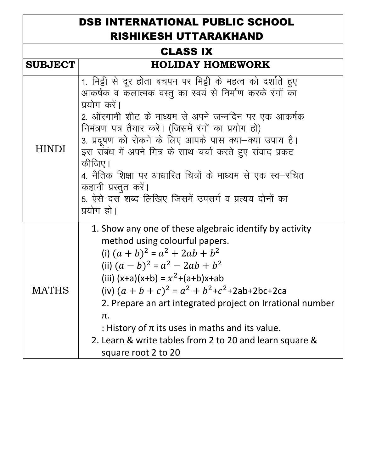## **DSB INTERNATIONAL PUBLIC SCHOOL RISHIKESH UTTARAKHAND**

## **CLASS IX**

| <b>SUBJECT</b> | <b>HOLIDAY HOMEWORK</b>                                                                                                                                                                                                                                                                                                                                                                                                                                                                                                                                 |
|----------------|---------------------------------------------------------------------------------------------------------------------------------------------------------------------------------------------------------------------------------------------------------------------------------------------------------------------------------------------------------------------------------------------------------------------------------------------------------------------------------------------------------------------------------------------------------|
| HINDI          | 1. मिट्टी से दूर होता बचपन पर मिट्टी के महत्व को दर्शाते हुए<br>आकर्षक व कलात्मक वस्तू का स्वयं से निर्माण करके रंगों का<br>प्रयोग करें।<br>2. ऑरगामी शीट के माध्यम से अपने जन्मदिन पर एक आकर्षक<br>निमंत्रण पत्र तैयार करें। (जिसमें रंगों का प्रयोग हो)<br>3. प्रदूषण को रोकने के लिए आपके पास क्या-क्या उपाय है।<br>इस संबंध में अपने मित्र के साथ चर्चा करते हुए संवाद प्रकट<br>कीजिए।<br>4. नैतिक शिक्षा पर आधारित चित्रों के माध्यम से एक स्व–रचित<br>कहानी प्रस्तुत करें।<br>5. ऐसे दस शब्द लिखिए जिसमें उपसर्ग व प्रत्यय दोनों का<br>प्रयोग हो। |
| MATHS          | 1. Show any one of these algebraic identify by activity<br>method using colourful papers.<br>(i) $(a + b)^2 = a^2 + 2ab + b^2$<br>(ii) $(a - b)^2 = a^2 - 2ab + b^2$<br>(iii) $(x+a)(x+b) = x^2 + (a+b)x + ab$<br>(iv) $(a + b + c)^2 = a^2 + b^2 + c^2 + 2ab + 2bc + 2ca$                                                                                                                                                                                                                                                                              |

2. Prepare an art integrated project on Irrational number

: History of  $\pi$  its uses in maths and its value.

2. Learn & write tables from 2 to 20 and learn square &

π.

square root 2 to 20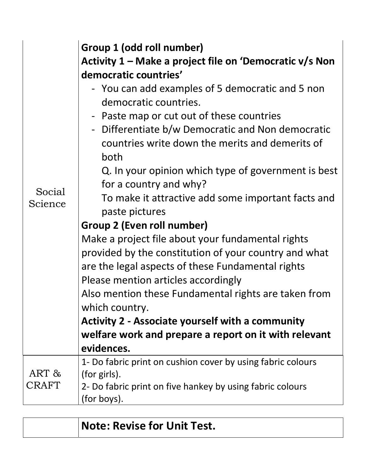| Social<br>Science     | Group 1 (odd roll number)<br>Activity $1$ – Make a project file on 'Democratic $v/s$ Non<br>democratic countries'<br>- You can add examples of 5 democratic and 5 non<br>democratic countries.<br>- Paste map or cut out of these countries<br>- Differentiate b/w Democratic and Non democratic<br>countries write down the merits and demerits of<br>both<br>Q. In your opinion which type of government is best<br>for a country and why?<br>To make it attractive add some important facts and<br>paste pictures<br>Group 2 (Even roll number)<br>Make a project file about your fundamental rights<br>provided by the constitution of your country and what<br>are the legal aspects of these Fundamental rights<br>Please mention articles accordingly<br>Also mention these Fundamental rights are taken from<br>which country.<br><b>Activity 2 - Associate yourself with a community</b><br>welfare work and prepare a report on it with relevant<br>evidences. |  |
|-----------------------|--------------------------------------------------------------------------------------------------------------------------------------------------------------------------------------------------------------------------------------------------------------------------------------------------------------------------------------------------------------------------------------------------------------------------------------------------------------------------------------------------------------------------------------------------------------------------------------------------------------------------------------------------------------------------------------------------------------------------------------------------------------------------------------------------------------------------------------------------------------------------------------------------------------------------------------------------------------------------|--|
| ART &<br><b>CRAFT</b> | 1- Do fabric print on cushion cover by using fabric colours<br>(for girls).<br>2- Do fabric print on five hankey by using fabric colours<br>(for boys).                                                                                                                                                                                                                                                                                                                                                                                                                                                                                                                                                                                                                                                                                                                                                                                                                  |  |

| Note: Revise for Unit Test. |  |
|-----------------------------|--|
|-----------------------------|--|